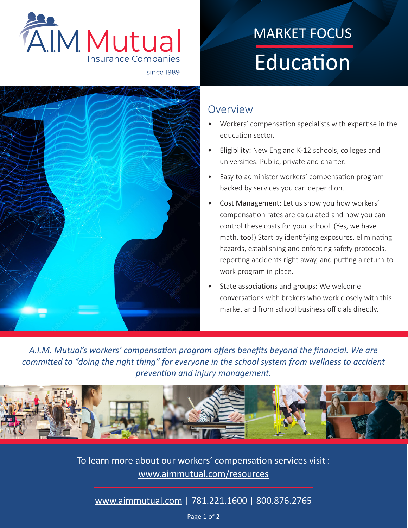

## February MARKET FOCUS Education



## Overview

- Workers' compensation specialists with expertise in the education sector.
- Eligibility: New England K-12 schools, colleges and universities. Public, private and charter.
- Easy to administer workers' compensation program backed by services you can depend on.
- Cost Management: Let us show you how workers' compensation rates are calculated and how you can control these costs for your school. (Yes, we have math, too!) Start by identifying exposures, eliminating hazards, establishing and enforcing safety protocols, reporting accidents right away, and putting a return-towork program in place.
- State associations and groups: We welcome conversations with brokers who work closely with this market and from school business officials directly.

*A.I.M. Mutual's workers' compensation program offers benefits beyond the financial. We are committed to "doing the right thing" for everyone in the school system from wellness to accident prevention and injury management.*



To learn more about our workers' compensation services visit : [www.aimmutual.com/resources](http://www.aimmutual.com/resources/)

[www.aimmutual.com](http://www.aimmutual.com) | 781.221.1600 | 800.876.2765

Page 1 of 2